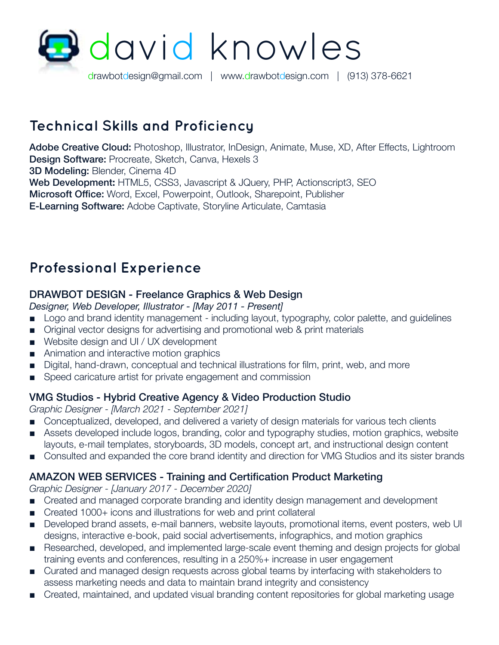

## **Technical Skills and Proficiency**

Adobe Creative Cloud: Photoshop, Illustrator, InDesign, Animate, Muse, XD, After Effects, Lightroom Design Software: Procreate, Sketch, Canva, Hexels 3 3D Modeling: Blender, Cinema 4D Web Development**:** HTML5, CSS3, Javascript & JQuery, PHP, Actionscript3, SEO Microsoft Office: Word, Excel, Powerpoint, Outlook, Sharepoint, Publisher E-Learning Software: Adobe Captivate, Storyline Articulate, Camtasia

## **Professional Experience**

## DRAWBOT DESIGN - Freelance Graphics & Web Design

- *Designer, Web Developer, Illustrator [May 2011 Present]*
- Logo and brand identity management including layout, typography, color palette, and guidelines
- Original vector designs for advertising and promotional web & print materials
- Website design and UI / UX development
- Animation and interactive motion graphics
- Digital, hand-drawn, conceptual and technical illustrations for film, print, web, and more
- Speed caricature artist for private engagement and commission

#### VMG Studios - Hybrid Creative Agency & Video Production Studio

*Graphic Designer - [March 2021 - September 2021]*

- Conceptualized, developed, and delivered a variety of design materials for various tech clients
- Assets developed include logos, branding, color and typography studies, motion graphics, website layouts, e-mail templates, storyboards, 3D models, concept art, and instructional design content
- Consulted and expanded the core brand identity and direction for VMG Studios and its sister brands

#### AMAZON WEB SERVICES - Training and Certification Product Marketing

*Graphic Designer - [January 2017 - December 2020]*

- Created and managed corporate branding and identity design management and development
- Created 1000+ icons and illustrations for web and print collateral
- Developed brand assets, e-mail banners, website layouts, promotional items, event posters, web UI designs, interactive e-book, paid social advertisements, infographics, and motion graphics
- Researched, developed, and implemented large-scale event theming and design projects for global training events and conferences, resulting in a 250%+ increase in user engagement
- Curated and managed design requests across global teams by interfacing with stakeholders to assess marketing needs and data to maintain brand integrity and consistency
- Created, maintained, and updated visual branding content repositories for global marketing usage